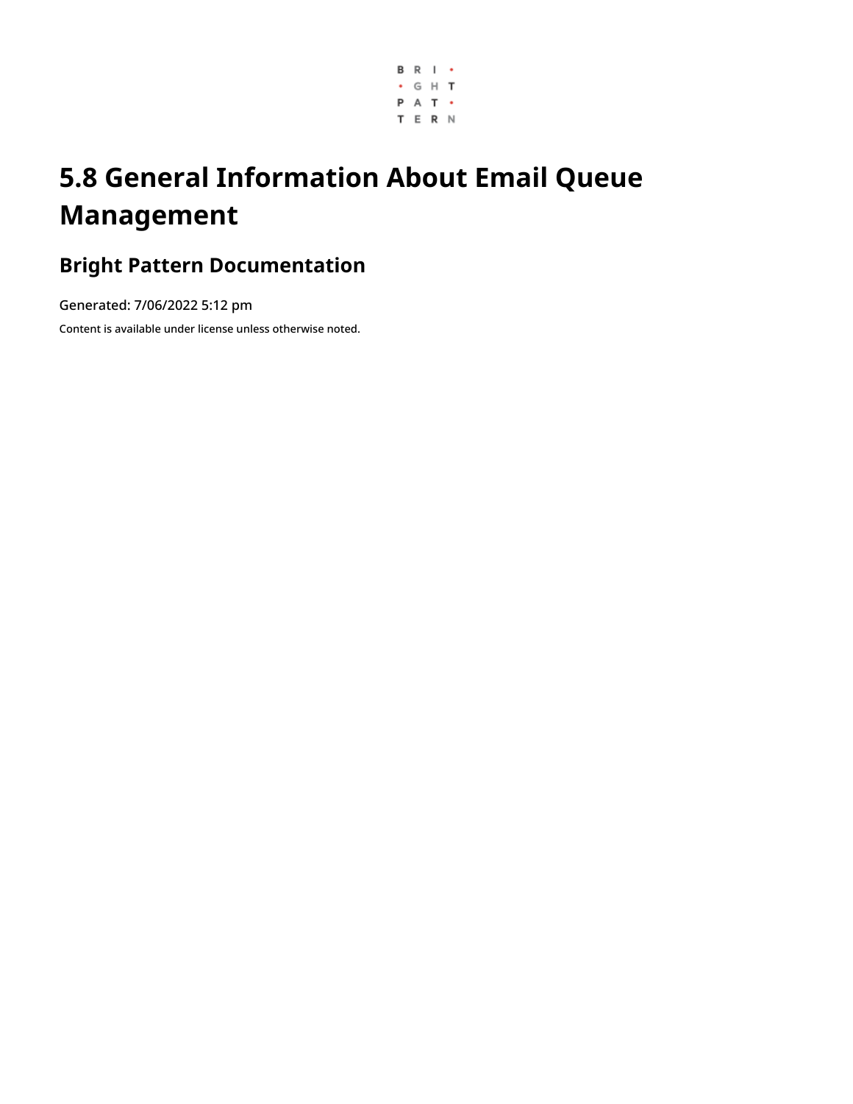

# **5.8 General Information About Email Queue Management**

### **Bright Pattern Documentation**

Generated: 7/06/2022 5:12 pm

Content is available under license unless otherwise noted.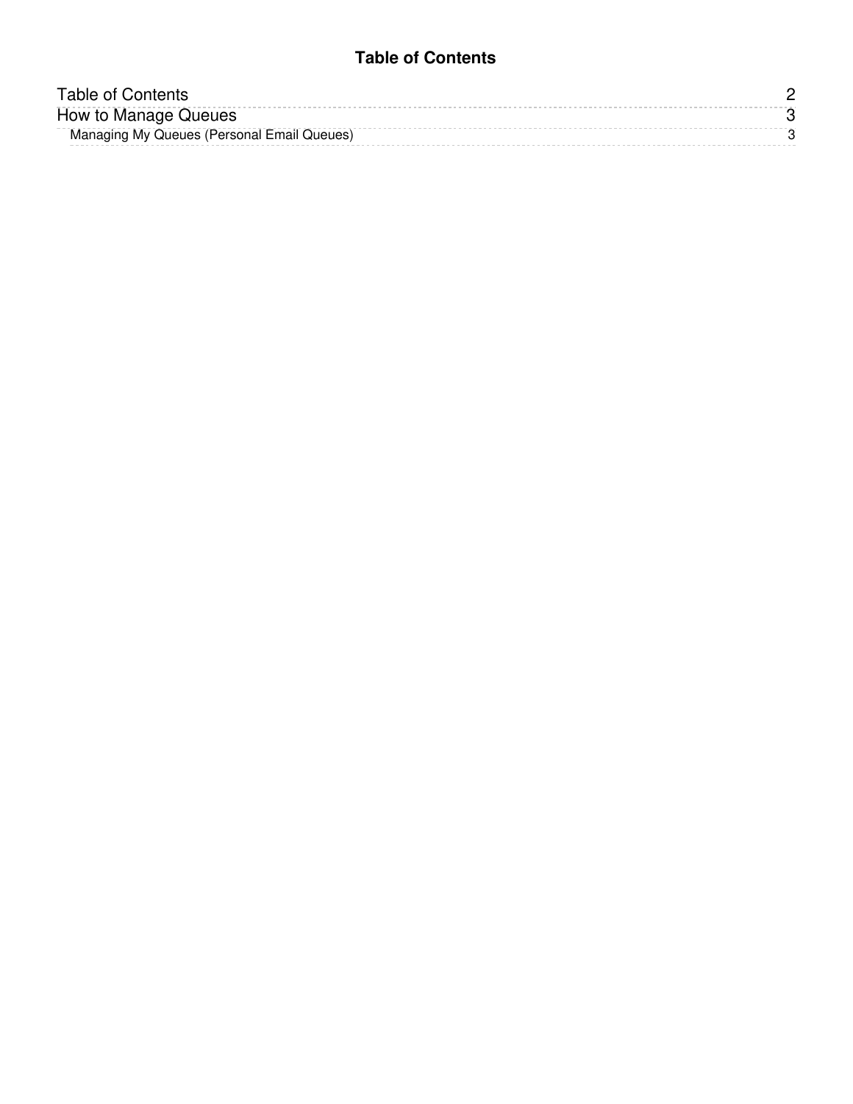#### **Table of Contents**

<span id="page-1-0"></span>

| Table of Contents                          |  |
|--------------------------------------------|--|
| How to Manage Queues                       |  |
| Managing My Queues (Personal Email Queues) |  |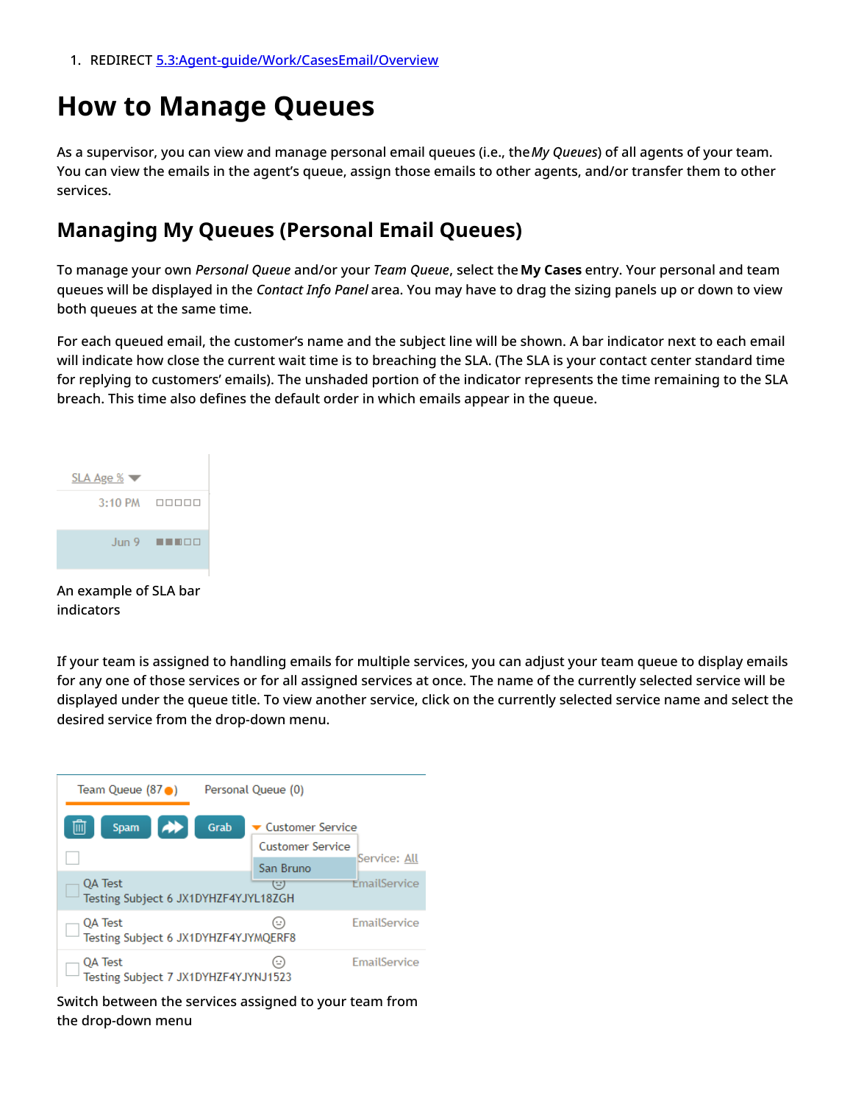1. REDIRECT [5.3:Agent-guide/Work/CasesEmail/Overview](https://help.brightpattern.com/5.3:Agent-guide/Work/CasesEmail/Overview)

## <span id="page-2-0"></span>**How to Manage Queues**

As a supervisor, you can view and manage personal email queues (i.e., the*My Queues*) of all agents of your team. You can view the emails in the agent's queue, assign those emails to other agents, and/or transfer them to other services.

#### <span id="page-2-1"></span>**Managing My Queues (Personal Email Queues)**

To manage your own *Personal Queue* and/or your *Team Queue*, select the **My Cases** entry. Your personal and team queues will be displayed in the *Contact Info Panel* area. You may have to drag the sizing panels up or down to view both queues at the same time.

For each queued email, the customer's name and the subject line will be shown. A bar indicator next to each email will indicate how close the current wait time is to breaching the SLA. (The SLA is your contact center standard time for replying to customers' emails). The unshaded portion of the indicator represents the time remaining to the SLA breach. This time also defines the default order in which emails appear in the queue.

| $SLA$ Age $%$ $\blacktriangledown$ |                                                                               |
|------------------------------------|-------------------------------------------------------------------------------|
|                                    | $3:10$ PM $\Box$                                                              |
|                                    | $\frac{1}{2}$ un 9 $\blacksquare$ $\blacksquare$ $\blacksquare$ $\Box$ $\Box$ |

An example of SLA bar indicators

If your team is assigned to handling emails for multiple services, you can adjust your team queue to display emails for any one of those services or for all assigned services at once. The name of the currently selected service will be displayed under the queue title. To view another service, click on the currently selected service name and select the desired service from the drop-down menu.



Switch between the services assigned to your team from the drop-down menu